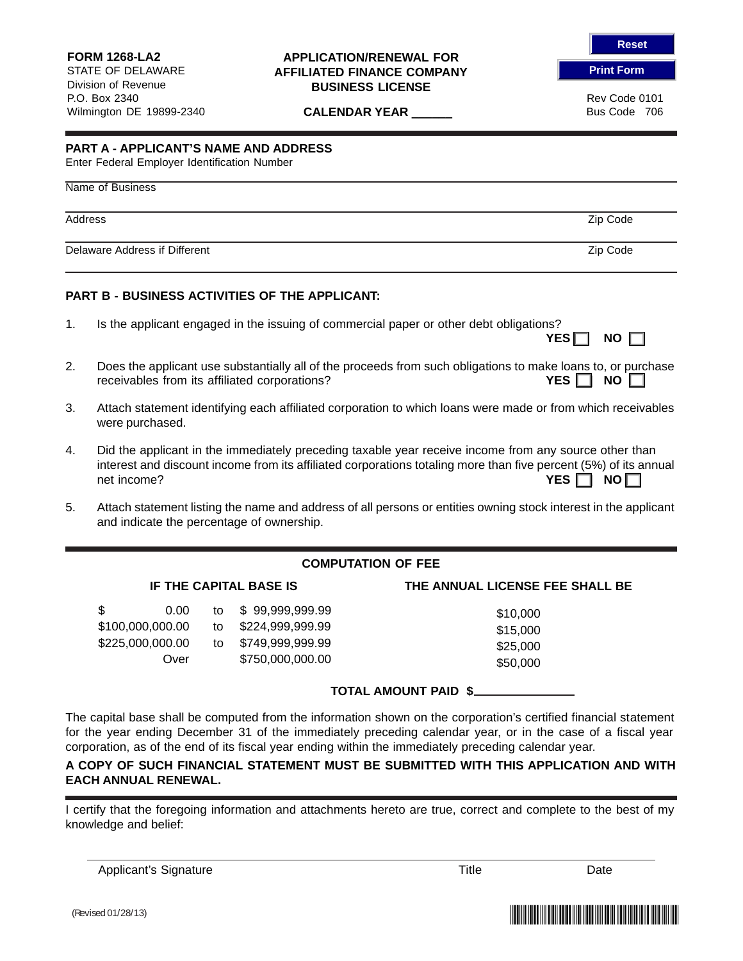### **APPLICATION/RENEWAL FOR AFFILIATED FINANCE COMPANY BUSINESS LICENSE**

**CALENDAR YEAR \_\_\_\_\_\_** Bus Code 706

**Reset**

**Print Form**

Rev Code 0101

# **PART A - APPLICANT'S NAME AND ADDRESS**

Enter Federal Employer Identification Number

## Name of Business

Address Zip Code

Delaware Address if Different **Zip Code** 2008 and 2009 and 2009 and 2009 and 2009 and 2009 and 2009 and 2009 and 2009 and 2009 and 2009 and 2009 and 2009 and 2009 and 2009 and 2009 and 2009 and 2009 and 2009 and 2009 and 2

## **PART B - BUSINESS ACTIVITIES OF THE APPLICANT:**

- 1. Is the applicant engaged in the issuing of commercial paper or other debt obligations?
- 2. Does the applicant use substantially all of the proceeds from such obligations to make loans to, or purchase **PERFILIAT CONSISTS FROM A 20 INCREDIT A 20 INCREDIT A 20 INCREDIT A 20 INCREDIT A 20 INCREDIT A 20 INCREDIT A 20 INCREDIT A 20 INCREDIT A 20 INCREDIT A 20 INCREDIT A 20 INCREDIT A 20 INCREDIT A 20 INCREDIT A 20 INCREDIT A**
- 3. Attach statement identifying each affiliated corporation to which loans were made or from which receivables were purchased.
- 4. Did the applicant in the immediately preceding taxable year receive income from any source other than interest and discount income from its affiliated corporations totaling more than five percent (5%) of its annual net income? **YES □ NO** □
- 5. Attach statement listing the name and address of all persons or entities owning stock interest in the applicant and indicate the percentage of ownership.

# **COMPUTATION OF FEE**

|                  | 0.00 |    | to \$99,999,999.99  | \$10,000 |
|------------------|------|----|---------------------|----------|
| \$100,000,000.00 |      |    | to \$224,999,999.99 | \$15,000 |
| \$225,000,000.00 |      | to | \$749,999,999.99    | \$25,000 |
|                  | Over |    | \$750,000,000.00    | \$50,000 |

## **IF THE CAPITAL BASE IS THE ANNUAL LICENSE FEE SHALL BE**

| \$10,000 |
|----------|
| \$15,000 |
| \$25,000 |
| \$50,000 |

## **TOTAL AMOUNT PAID \$**

The capital base shall be computed from the information shown on the corporation's certified financial statement for the year ending December 31 of the immediately preceding calendar year, or in the case of a fiscal year corporation, as of the end of its fiscal year ending within the immediately preceding calendar year.

## **A COPY OF SUCH FINANCIAL STATEMENT MUST BE SUBMITTED WITH THIS APPLICATION AND WITH EACH ANNUAL RENEWAL.**

I certify that the foregoing information and attachments hereto are true, correct and complete to the best of my knowledge and belief:

Applicant's Signature The Contract of Contract Contract of Title Title Date



YES  $\Box$  NO  $\Box$